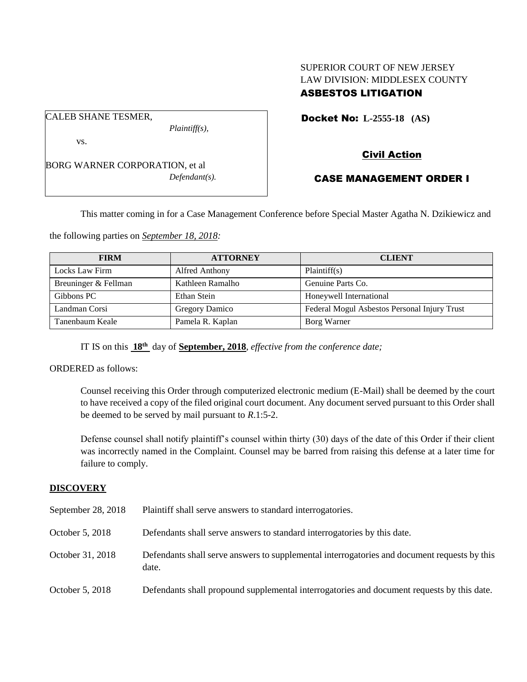## SUPERIOR COURT OF NEW JERSEY LAW DIVISION: MIDDLESEX COUNTY ASBESTOS LITIGATION

Docket No: **L-2555-18 (AS)** 

vs.

CALEB SHANE TESMER,

BORG WARNER CORPORATION, et al *Defendant(s).*

*Plaintiff(s),*

# Civil Action

# CASE MANAGEMENT ORDER I

This matter coming in for a Case Management Conference before Special Master Agatha N. Dzikiewicz and

the following parties on *September 18, 2018:*

| <b>FIRM</b>          | <b>ATTORNEY</b>  | <b>CLIENT</b>                                |
|----------------------|------------------|----------------------------------------------|
| Locks Law Firm       | Alfred Anthony   | Plaintiff(s)                                 |
| Breuninger & Fellman | Kathleen Ramalho | Genuine Parts Co.                            |
| Gibbons PC           | Ethan Stein      | Honeywell International                      |
| Landman Corsi        | Gregory Damico   | Federal Mogul Asbestos Personal Injury Trust |
| Tanenbaum Keale      | Pamela R. Kaplan | Borg Warner                                  |

IT IS on this **18th** day of **September, 2018**, *effective from the conference date;*

ORDERED as follows:

Counsel receiving this Order through computerized electronic medium (E-Mail) shall be deemed by the court to have received a copy of the filed original court document. Any document served pursuant to this Order shall be deemed to be served by mail pursuant to *R*.1:5-2.

Defense counsel shall notify plaintiff's counsel within thirty (30) days of the date of this Order if their client was incorrectly named in the Complaint. Counsel may be barred from raising this defense at a later time for failure to comply.

## **DISCOVERY**

| September 28, 2018 | Plaintiff shall serve answers to standard interrogatories.                                            |
|--------------------|-------------------------------------------------------------------------------------------------------|
| October 5, 2018    | Defendants shall serve answers to standard interrogatories by this date.                              |
| October 31, 2018   | Defendants shall serve answers to supplemental interrogatories and document requests by this<br>date. |
| October 5, 2018    | Defendants shall propound supplemental interrogatories and document requests by this date.            |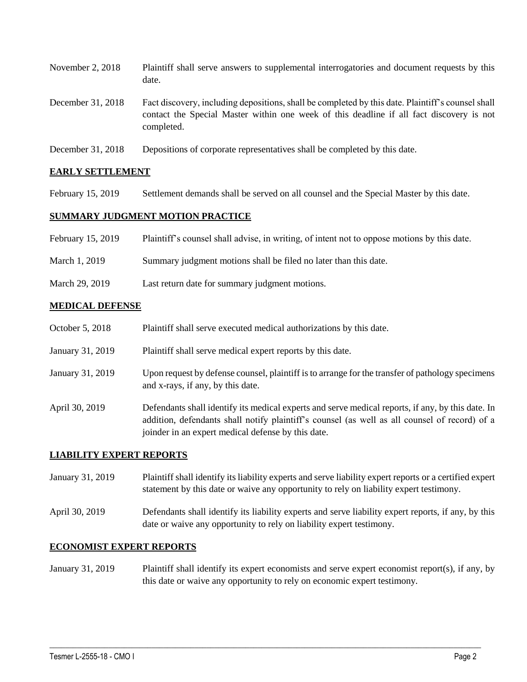| November 2, 2018  | Plaintiff shall serve answers to supplemental interrogatories and document requests by this<br>date.                                                                                                        |
|-------------------|-------------------------------------------------------------------------------------------------------------------------------------------------------------------------------------------------------------|
| December 31, 2018 | Fact discovery, including depositions, shall be completed by this date. Plaintiff's counsel shall<br>contact the Special Master within one week of this deadline if all fact discovery is not<br>completed. |
| 21.2010           | $\sim$ $\sim$ $\sim$ $\sim$ $\sim$ $\sim$                                                                                                                                                                   |

December 31, 2018 Depositions of corporate representatives shall be completed by this date.

## **EARLY SETTLEMENT**

February 15, 2019 Settlement demands shall be served on all counsel and the Special Master by this date.

## **SUMMARY JUDGMENT MOTION PRACTICE**

| February 15, 2019 | Plaintiff's counsel shall advise, in writing, of intent not to oppose motions by this date. |  |  |  |
|-------------------|---------------------------------------------------------------------------------------------|--|--|--|
|-------------------|---------------------------------------------------------------------------------------------|--|--|--|

- March 1, 2019 Summary judgment motions shall be filed no later than this date.
- March 29, 2019 Last return date for summary judgment motions.

#### **MEDICAL DEFENSE**

- October 5, 2018 Plaintiff shall serve executed medical authorizations by this date.
- January 31, 2019 Plaintiff shall serve medical expert reports by this date.
- January 31, 2019 Upon request by defense counsel, plaintiff is to arrange for the transfer of pathology specimens and x-rays, if any, by this date.
- April 30, 2019 Defendants shall identify its medical experts and serve medical reports, if any, by this date. In addition, defendants shall notify plaintiff's counsel (as well as all counsel of record) of a joinder in an expert medical defense by this date.

## **LIABILITY EXPERT REPORTS**

- January 31, 2019 Plaintiff shall identify its liability experts and serve liability expert reports or a certified expert statement by this date or waive any opportunity to rely on liability expert testimony.
- April 30, 2019 Defendants shall identify its liability experts and serve liability expert reports, if any, by this date or waive any opportunity to rely on liability expert testimony.

## **ECONOMIST EXPERT REPORTS**

January 31, 2019 Plaintiff shall identify its expert economists and serve expert economist report(s), if any, by this date or waive any opportunity to rely on economic expert testimony.

 $\_$  ,  $\_$  ,  $\_$  ,  $\_$  ,  $\_$  ,  $\_$  ,  $\_$  ,  $\_$  ,  $\_$  ,  $\_$  ,  $\_$  ,  $\_$  ,  $\_$  ,  $\_$  ,  $\_$  ,  $\_$  ,  $\_$  ,  $\_$  ,  $\_$  ,  $\_$  ,  $\_$  ,  $\_$  ,  $\_$  ,  $\_$  ,  $\_$  ,  $\_$  ,  $\_$  ,  $\_$  ,  $\_$  ,  $\_$  ,  $\_$  ,  $\_$  ,  $\_$  ,  $\_$  ,  $\_$  ,  $\_$  ,  $\_$  ,